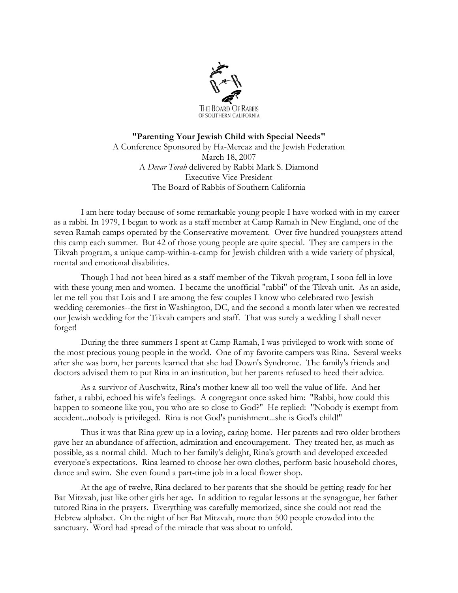

## **"Parenting Your Jewish Child with Special Needs"** A Conference Sponsored by Ha-Mercaz and the Jewish Federation March 18, 2007 A *Devar Torah* delivered by Rabbi Mark S. Diamond Executive Vice President The Board of Rabbis of Southern California

I am here today because of some remarkable young people I have worked with in my career as a rabbi. In 1979, I began to work as a staff member at Camp Ramah in New England, one of the seven Ramah camps operated by the Conservative movement. Over five hundred youngsters attend this camp each summer. But 42 of those young people are quite special. They are campers in the Tikvah program, a unique camp-within-a-camp for Jewish children with a wide variety of physical, mental and emotional disabilities.

Though I had not been hired as a staff member of the Tikvah program, I soon fell in love with these young men and women. I became the unofficial "rabbi" of the Tikvah unit. As an aside, let me tell you that Lois and I are among the few couples I know who celebrated two Jewish wedding ceremonies--the first in Washington, DC, and the second a month later when we recreated our Jewish wedding for the Tikvah campers and staff. That was surely a wedding I shall never forget!

 During the three summers I spent at Camp Ramah, I was privileged to work with some of the most precious young people in the world. One of my favorite campers was Rina. Several weeks after she was born, her parents learned that she had Down's Syndrome. The family's friends and doctors advised them to put Rina in an institution, but her parents refused to heed their advice.

As a survivor of Auschwitz, Rina's mother knew all too well the value of life. And her father, a rabbi, echoed his wife's feelings. A congregant once asked him: "Rabbi, how could this happen to someone like you, you who are so close to God?" He replied: "Nobody is exempt from accident...nobody is privileged. Rina is not God's punishment...she is God's child!"

 Thus it was that Rina grew up in a loving, caring home. Her parents and two older brothers gave her an abundance of affection, admiration and encouragement. They treated her, as much as possible, as a normal child. Much to her family's delight, Rina's growth and developed exceeded everyone's expectations. Rina learned to choose her own clothes, perform basic household chores, dance and swim. She even found a part-time job in a local flower shop.

 At the age of twelve, Rina declared to her parents that she should be getting ready for her Bat Mitzvah, just like other girls her age. In addition to regular lessons at the synagogue, her father tutored Rina in the prayers. Everything was carefully memorized, since she could not read the Hebrew alphabet. On the night of her Bat Mitzvah, more than 500 people crowded into the sanctuary. Word had spread of the miracle that was about to unfold.